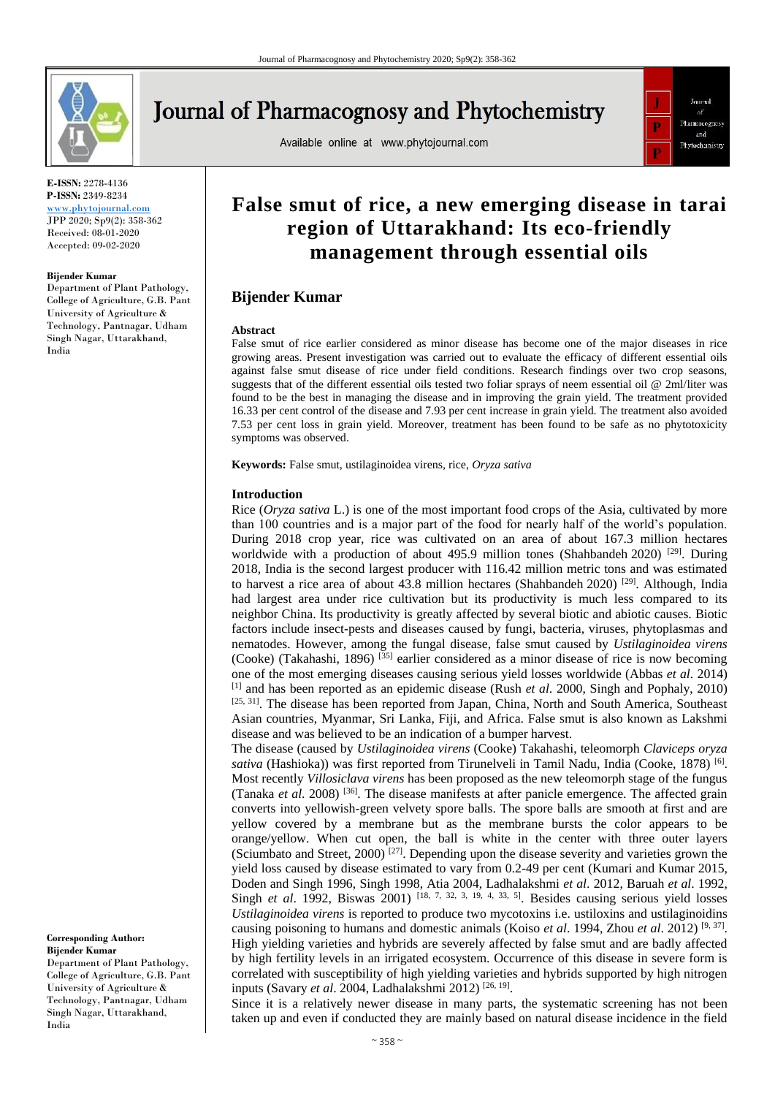

# **Journal of Pharmacognosy and Phytochemistry**

Available online at www.phytojournal.com



**E-ISSN:** 2278-4136 **P-ISSN:** 2349-8234

<www.phytojournal.com> JPP 2020; Sp9(2): 358-362 Received: 08-01-2020 Accepted: 09-02-2020

#### **Bijender Kumar**

Department of Plant Pathology, College of Agriculture, G.B. Pant University of Agriculture & Technology, Pantnagar, Udham Singh Nagar, Uttarakhand, India

# **False smut of rice, a new emerging disease in tarai region of Uttarakhand: Its eco-friendly management through essential oils**

# **Bijender Kumar**

#### **Abstract**

False smut of rice earlier considered as minor disease has become one of the major diseases in rice growing areas. Present investigation was carried out to evaluate the efficacy of different essential oils against false smut disease of rice under field conditions. Research findings over two crop seasons, suggests that of the different essential oils tested two foliar sprays of neem essential oil @ 2ml/liter was found to be the best in managing the disease and in improving the grain yield. The treatment provided 16.33 per cent control of the disease and 7.93 per cent increase in grain yield. The treatment also avoided 7.53 per cent loss in grain yield. Moreover, treatment has been found to be safe as no phytotoxicity symptoms was observed.

**Keywords:** False smut, ustilaginoidea virens, rice, *Oryza sativa*

#### **Introduction**

Rice (*Oryza sativa* L.) is one of the most important food crops of the Asia, cultivated by more than 100 countries and is a major part of the food for nearly half of the world's population. During 2018 crop year, rice was cultivated on an area of about 167.3 million hectares worldwide with a production of about 495.9 million tones (Shahbandeh 2020) <sup>[29]</sup>. During 2018, India is the second largest producer with 116.42 million metric tons and was estimated to harvest a rice area of about 43.8 million hectares (Shahbandeh 2020) <sup>[29]</sup>. Although, India had largest area under rice cultivation but its productivity is much less compared to its neighbor China. Its productivity is greatly affected by several biotic and abiotic causes. Biotic factors include insect-pests and diseases caused by fungi, bacteria, viruses, phytoplasmas and nematodes. However, among the fungal disease, false smut caused by *Ustilaginoidea virens* (Cooke) (Takahashi, 1896)  $^{[35]}$  earlier considered as a minor disease of rice is now becoming one of the most emerging diseases causing serious yield losses worldwide (Abbas *et al*. 2014) [1] and has been reported as an epidemic disease (Rush *et al*. 2000, Singh and Pophaly, 2010) [25, 31]. The disease has been reported from Japan, China, North and South America, Southeast Asian countries, Myanmar, Sri Lanka, Fiji, and Africa. False smut is also known as Lakshmi disease and was believed to be an indication of a bumper harvest.

The disease (caused by *Ustilaginoidea virens* (Cooke) Takahashi, teleomorph *Claviceps oryza*  sativa (Hashioka)) was first reported from Tirunelveli in Tamil Nadu, India (Cooke, 1878)<sup>[6]</sup>. Most recently *Villosiclava virens* has been proposed as the new teleomorph stage of the fungus (Tanaka *et al*. 2008) [36]. The disease manifests at after panicle emergence. The affected grain converts into yellowish-green velvety spore balls. The spore balls are smooth at first and are yellow covered by a membrane but as the membrane bursts the color appears to be orange/yellow. When cut open, the ball is white in the center with three outer layers (Sciumbato and Street, 2000)<sup>[27]</sup>. Depending upon the disease severity and varieties grown the yield loss caused by disease estimated to vary from 0.2-49 per cent (Kumari and Kumar 2015, Doden and Singh 1996, Singh 1998, Atia 2004, Ladhalakshmi *et al*. 2012, Baruah *et al*. 1992, Singh *et al.* 1992, Biswas 2001) [18, 7, 32, 3, 19, 4, 33, 5]. Besides causing serious yield losses *Ustilaginoidea virens* is reported to produce two mycotoxins i.e. ustiloxins and ustilaginoidins causing poisoning to humans and domestic animals (Koiso *et al.* 1994, Zhou *et al.* 2012)<sup>[9, 37]</sup>. High yielding varieties and hybrids are severely affected by false smut and are badly affected by high fertility levels in an irrigated ecosystem. Occurrence of this disease in severe form is correlated with susceptibility of high yielding varieties and hybrids supported by high nitrogen inputs (Savary *et al*. 2004, Ladhalakshmi 2012) [26, 19] .

Since it is a relatively newer disease in many parts, the systematic screening has not been taken up and even if conducted they are mainly based on natural disease incidence in the field

# **Corresponding Author: Bijender Kumar** Department of Plant Pathology, College of Agriculture, G.B. Pant

University of Agriculture & Technology, Pantnagar, Udham Singh Nagar, Uttarakhand, India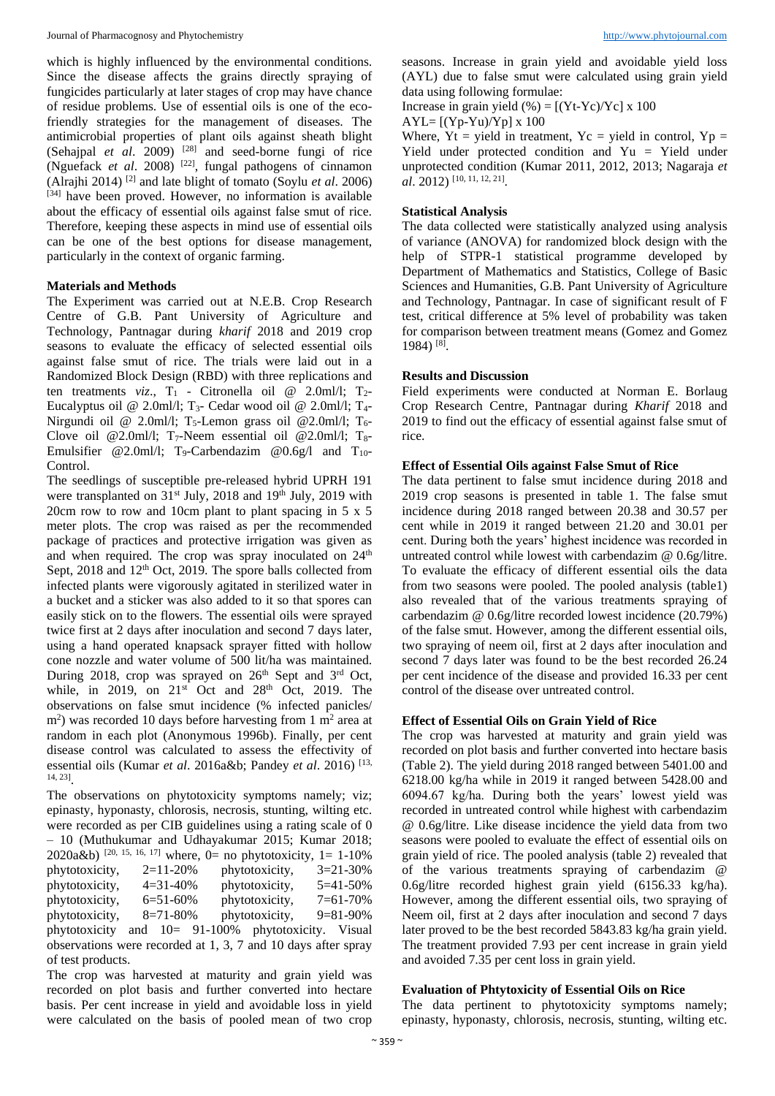which is highly influenced by the environmental conditions. Since the disease affects the grains directly spraying of fungicides particularly at later stages of crop may have chance of residue problems. Use of essential oils is one of the ecofriendly strategies for the management of diseases. The antimicrobial properties of plant oils against sheath blight (Sehajpal *et al.* 2009)  $^{[28]}$  and seed-borne fungi of rice (Nguefack *et al.* 2008) <sup>[22]</sup>, fungal pathogens of cinnamon (Alrajhi 2014) [2] and late blight of tomato (Soylu *et al*. 2006) [34] have been proved. However, no information is available about the efficacy of essential oils against false smut of rice. Therefore, keeping these aspects in mind use of essential oils can be one of the best options for disease management, particularly in the context of organic farming.

### **Materials and Methods**

The Experiment was carried out at N.E.B. Crop Research Centre of G.B. Pant University of Agriculture and Technology, Pantnagar during *kharif* 2018 and 2019 crop seasons to evaluate the efficacy of selected essential oils against false smut of rice. The trials were laid out in a Randomized Block Design (RBD) with three replications and ten treatments *viz.*,  $T_1$  - Citronella oil @ 2.0ml/l;  $T_2$ -Eucalyptus oil @ 2.0ml/l; T<sub>3</sub>- Cedar wood oil @ 2.0ml/l; T<sub>4</sub>-Nirgundi oil @ 2.0ml/l; T<sub>5</sub>-Lemon grass oil @ 2.0ml/l; T<sub>6</sub>-Clove oil @2.0ml/l; T<sub>7</sub>-Neem essential oil @2.0ml/l; T<sub>8</sub>-Emulsifier @2.0ml/l; T<sub>9</sub>-Carbendazim @0.6g/l and T<sub>10</sub>-Control.

The seedlings of susceptible pre-released hybrid UPRH 191 were transplanted on  $31<sup>st</sup>$  July, 2018 and 19<sup>th</sup> July, 2019 with 20cm row to row and 10cm plant to plant spacing in  $5 \times 5$ meter plots. The crop was raised as per the recommended package of practices and protective irrigation was given as and when required. The crop was spray inoculated on 24<sup>th</sup> Sept, 2018 and 12<sup>th</sup> Oct, 2019. The spore balls collected from infected plants were vigorously agitated in sterilized water in a bucket and a sticker was also added to it so that spores can easily stick on to the flowers. The essential oils were sprayed twice first at 2 days after inoculation and second 7 days later, using a hand operated knapsack sprayer fitted with hollow cone nozzle and water volume of 500 lit/ha was maintained. During 2018, crop was sprayed on 26<sup>th</sup> Sept and 3<sup>rd</sup> Oct, while, in 2019, on  $21<sup>st</sup>$  Oct and  $28<sup>th</sup>$  Oct, 2019. The observations on false smut incidence (% infected panicles/  $\text{m}^2$ ) was recorded 10 days before harvesting from 1 m<sup>2</sup> area at random in each plot (Anonymous 1996b). Finally, per cent disease control was calculated to assess the effectivity of essential oils (Kumar *et al*. 2016a&b; Pandey *et al*. 2016) [13, 14, 23] .

The observations on phytotoxicity symptoms namely; viz; epinasty, hyponasty, chlorosis, necrosis, stunting, wilting etc. were recorded as per CIB guidelines using a rating scale of 0 – 10 (Muthukumar and Udhayakumar 2015; Kumar 2018; 2020a&b)  $[20, 15, 16, 17]$  where, 0= no phytotoxicity, 1= 1-10% phytotoxicity, 2=11-20% phytotoxicity, 3=21-30% phytotoxicity, 4=31-40% phytotoxicity, 5=41-50% phytotoxicity, 6=51-60% phytotoxicity, 7=61-70% phytotoxicity, 8=71-80% phytotoxicity, 9=81-90% phytotoxicity and 10= 91-100% phytotoxicity. Visual observations were recorded at 1, 3, 7 and 10 days after spray of test products.

The crop was harvested at maturity and grain yield was recorded on plot basis and further converted into hectare basis. Per cent increase in yield and avoidable loss in yield were calculated on the basis of pooled mean of two crop

seasons. Increase in grain yield and avoidable yield loss (AYL) due to false smut were calculated using grain yield data using following formulae:

Increase in grain yield  $(\% ) = [(\text{Yt-Yc})/\text{Yc}] \times 100$ 

 $AYL=[(Yp-Yu)/Yp] \times 100$ 

Where,  $Yt = yield$  in treatment,  $Yc = yield$  in control,  $Yp =$ Yield under protected condition and Yu = Yield under unprotected condition (Kumar 2011, 2012, 2013; Nagaraja *et al*. 2012) [10, 11, 12, 21] .

#### **Statistical Analysis**

The data collected were statistically analyzed using analysis of variance (ANOVA) for randomized block design with the help of STPR-1 statistical programme developed by Department of Mathematics and Statistics, College of Basic Sciences and Humanities, G.B. Pant University of Agriculture and Technology, Pantnagar. In case of significant result of F test, critical difference at 5% level of probability was taken for comparison between treatment means (Gomez and Gomez 1984) [8] .

# **Results and Discussion**

Field experiments were conducted at Norman E. Borlaug Crop Research Centre, Pantnagar during *Kharif* 2018 and 2019 to find out the efficacy of essential against false smut of rice.

#### **Effect of Essential Oils against False Smut of Rice**

The data pertinent to false smut incidence during 2018 and 2019 crop seasons is presented in table 1. The false smut incidence during 2018 ranged between 20.38 and 30.57 per cent while in 2019 it ranged between 21.20 and 30.01 per cent. During both the years' highest incidence was recorded in untreated control while lowest with carbendazim @ 0.6g/litre. To evaluate the efficacy of different essential oils the data from two seasons were pooled. The pooled analysis (table1) also revealed that of the various treatments spraying of carbendazim @ 0.6g/litre recorded lowest incidence (20.79%) of the false smut. However, among the different essential oils, two spraying of neem oil, first at 2 days after inoculation and second 7 days later was found to be the best recorded 26.24 per cent incidence of the disease and provided 16.33 per cent control of the disease over untreated control.

# **Effect of Essential Oils on Grain Yield of Rice**

The crop was harvested at maturity and grain yield was recorded on plot basis and further converted into hectare basis (Table 2). The yield during 2018 ranged between 5401.00 and 6218.00 kg/ha while in 2019 it ranged between 5428.00 and 6094.67 kg/ha. During both the years' lowest yield was recorded in untreated control while highest with carbendazim @ 0.6g/litre. Like disease incidence the yield data from two seasons were pooled to evaluate the effect of essential oils on grain yield of rice. The pooled analysis (table 2) revealed that of the various treatments spraying of carbendazim @ 0.6g/litre recorded highest grain yield (6156.33 kg/ha). However, among the different essential oils, two spraying of Neem oil, first at 2 days after inoculation and second 7 days later proved to be the best recorded 5843.83 kg/ha grain yield. The treatment provided 7.93 per cent increase in grain yield and avoided 7.35 per cent loss in grain yield.

## **Evaluation of Phtytoxicity of Essential Oils on Rice**

The data pertinent to phytotoxicity symptoms namely; epinasty, hyponasty, chlorosis, necrosis, stunting, wilting etc.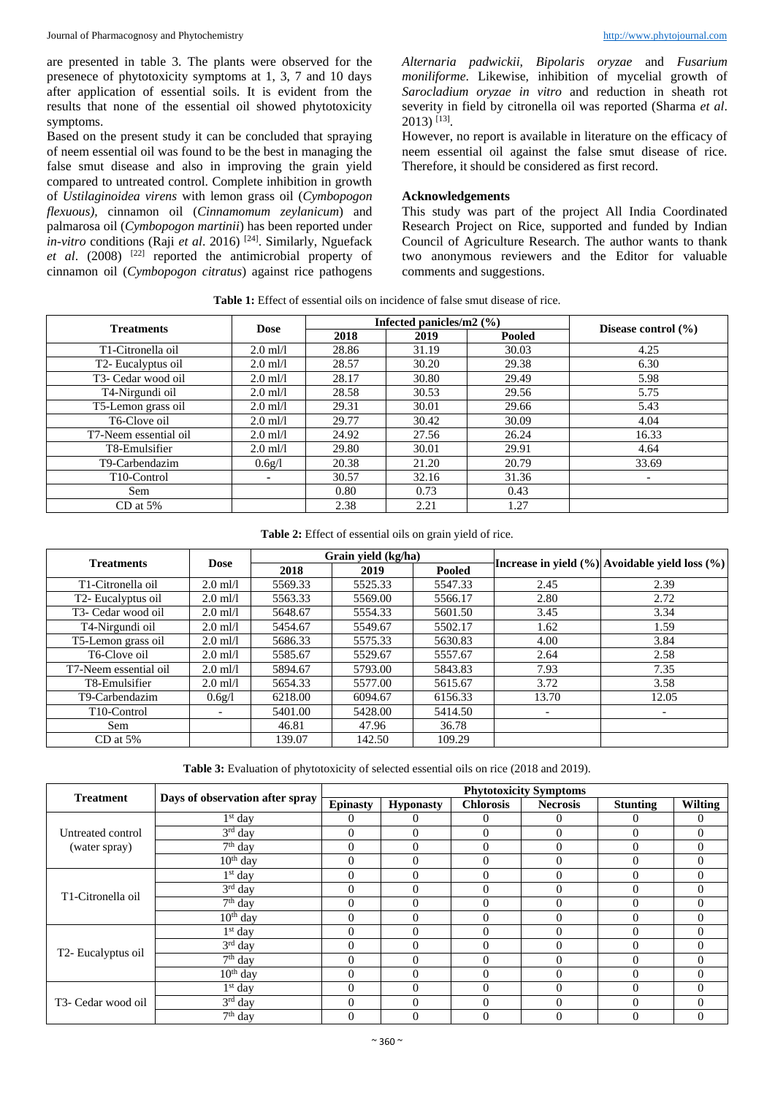are presented in table 3. The plants were observed for the presenece of phytotoxicity symptoms at 1, 3, 7 and 10 days after application of essential soils. It is evident from the results that none of the essential oil showed phytotoxicity symptoms.

Based on the present study it can be concluded that spraying of neem essential oil was found to be the best in managing the false smut disease and also in improving the grain yield compared to untreated control. Complete inhibition in growth of *Ustilaginoidea virens* with lemon grass oil (*Cymbopogon flexuous),* cinnamon oil (*Cinnamomum zeylanicum*) and palmarosa oil (*Cymbopogon martinii*) has been reported under *in-vitro* conditions (Raji *et al.* 2016)<sup>[24]</sup>. Similarly, Nguefack *et al*. (2008) [22] reported the antimicrobial property of cinnamon oil (*Cymbopogon citratus*) against rice pathogens

*Alternaria padwickii, Bipolaris oryzae* and *Fusarium moniliforme*. Likewise, inhibition of mycelial growth of *Sarocladium oryzae in vitro* and reduction in sheath rot severity in field by citronella oil was reported (Sharma *et al*. 2013) [13] .

However, no report is available in literature on the efficacy of neem essential oil against the false smut disease of rice. Therefore, it should be considered as first record.

#### **Acknowledgements**

This study was part of the project All India Coordinated Research Project on Rice, supported and funded by Indian Council of Agriculture Research. The author wants to thank two anonymous reviewers and the Editor for valuable comments and suggestions.

| <b>Table 1:</b> Effect of essential oils on incidence of false smut disease of rice. |  |  |
|--------------------------------------------------------------------------------------|--|--|
|--------------------------------------------------------------------------------------|--|--|

| <b>Treatments</b>               | <b>Dose</b> |       | Infected panicles/m2 $(\% )$ | Disease control $(\% )$ |                          |
|---------------------------------|-------------|-------|------------------------------|-------------------------|--------------------------|
|                                 |             | 2018  | 2019<br>Pooled               |                         |                          |
| T1-Citronella oil               | $2.0$ ml/l  | 28.86 | 31.19                        | 30.03                   | 4.25                     |
| T <sub>2</sub> - Eucalyptus oil | $2.0$ ml/l  | 28.57 | 30.20                        | 29.38                   | 6.30                     |
| T <sub>3</sub> - Cedar wood oil | $2.0$ ml/l  | 28.17 | 30.80                        | 29.49                   | 5.98                     |
| T4-Nirgundi oil                 | $2.0$ ml/l  | 28.58 | 30.53                        | 29.56                   | 5.75                     |
| T5-Lemon grass oil              | $2.0$ ml/l  | 29.31 | 30.01                        | 29.66                   | 5.43                     |
| T6-Clove oil                    | $2.0$ ml/l  | 29.77 | 30.42                        | 30.09                   | 4.04                     |
| T7-Neem essential oil           | $2.0$ ml/l  | 24.92 | 27.56                        | 26.24                   | 16.33                    |
| T8-Emulsifier                   | $2.0$ ml/l  | 29.80 | 30.01                        | 29.91                   | 4.64                     |
| T9-Carbendazim                  | 0.6g/l      | 20.38 | 21.20                        | 20.79                   | 33.69                    |
| T <sub>10</sub> -Control        | ۰.          | 30.57 | 32.16                        | 31.36                   | $\overline{\phantom{a}}$ |
| Sem                             |             | 0.80  | 0.73                         | 0.43                    |                          |
| $CD$ at 5%                      |             | 2.38  | 2.21                         | 1.27                    |                          |

#### **Table 2:** Effect of essential oils on grain yield of rice.

|                                 |                                       |         | Grain yield (kg/ha) |                                                |                          |                          |  |
|---------------------------------|---------------------------------------|---------|---------------------|------------------------------------------------|--------------------------|--------------------------|--|
| <b>Treatments</b>               | <b>Dose</b><br>2019<br>Pooled<br>2018 |         |                     | Increase in yield (%) Avoidable yield loss (%) |                          |                          |  |
| T1-Citronella oil               | $2.0$ ml/l                            | 5569.33 | 5525.33             | 5547.33                                        | 2.45                     | 2.39                     |  |
| T <sub>2</sub> - Eucalyptus oil | $2.0$ ml/l                            | 5563.33 | 5569.00             | 5566.17                                        | 2.80                     | 2.72                     |  |
| T3- Cedar wood oil              | $2.0$ ml/l                            | 5648.67 | 5554.33             | 5601.50                                        | 3.45                     | 3.34                     |  |
| T4-Nirgundi oil                 | $2.0$ ml/l                            | 5454.67 | 5549.67             | 5502.17                                        | 1.62                     | 1.59                     |  |
| T5-Lemon grass oil              | $2.0$ ml/l                            | 5686.33 | 5575.33             | 5630.83                                        | 4.00                     | 3.84                     |  |
| T6-Clove oil                    | $2.0$ ml/l                            | 5585.67 | 5529.67             | 5557.67                                        | 2.64                     | 2.58                     |  |
| T7-Neem essential oil           | $2.0$ ml/l                            | 5894.67 | 5793.00             | 5843.83                                        | 7.93                     | 7.35                     |  |
| T8-Emulsifier                   | $2.0$ ml/l                            | 5654.33 | 5577.00             | 5615.67                                        | 3.72                     | 3.58                     |  |
| T9-Carbendazim                  | 0.6g/l                                | 6218.00 | 6094.67             | 6156.33                                        | 13.70                    | 12.05                    |  |
| T <sub>10</sub> -Control        | $\overline{\phantom{0}}$              | 5401.00 | 5428.00             | 5414.50                                        | $\overline{\phantom{a}}$ | $\overline{\phantom{a}}$ |  |
| Sem                             |                                       | 46.81   | 47.96               | 36.78                                          |                          |                          |  |
| $CD$ at 5%                      |                                       | 139.07  | 142.50              | 109.29                                         |                          |                          |  |

Table 3: Evaluation of phytotoxicity of selected essential oils on rice (2018 and 2019).

| <b>Treatment</b>                | Days of observation after spray | <b>Phytotoxicity Symptoms</b> |                  |                  |                 |                 |          |  |
|---------------------------------|---------------------------------|-------------------------------|------------------|------------------|-----------------|-----------------|----------|--|
|                                 |                                 | <b>Epinasty</b>               | <b>Hyponasty</b> | <b>Chlorosis</b> | <b>Necrosis</b> | <b>Stunting</b> | Wilting  |  |
|                                 | $1st$ day                       | 0                             | $\Omega$         | $\theta$         | $\Omega$        | 0               | $\Omega$ |  |
| Untreated control               | 3rd day                         | $\theta$                      | $\Omega$         | $\theta$         | $\Omega$        | $\Omega$        | $\Omega$ |  |
| (water spray)                   | $7th$ day                       | $\Omega$                      | $\theta$         | $\Omega$         | $\Omega$        | $\Omega$        | $\Omega$ |  |
|                                 | $10th$ day                      | $\theta$                      | $\theta$         | $\Omega$         | $\Omega$        | $\Omega$        | $\Omega$ |  |
| T1-Citronella oil               | $1st$ day                       | $\Omega$                      | $\Omega$         | $\theta$         | $\Omega$        | $\Omega$        | $\Omega$ |  |
|                                 | 3rd day                         | $\Omega$                      | $\theta$         | $\mathbf{0}$     | $\Omega$        | $\Omega$        | $\Omega$ |  |
|                                 | $7th$ day                       | $\theta$                      | $\Omega$         | $\mathbf{0}$     | $\theta$        | $\Omega$        | $\Omega$ |  |
|                                 | $10th$ day                      | $\Omega$                      | $\Omega$         | $\Omega$         | $\Omega$        | $\Omega$        | $\Omega$ |  |
| T2- Eucalyptus oil              | $1st$ day                       | $\Omega$                      | $\theta$         | $\Omega$         | $\Omega$        | $\Omega$        | $\Omega$ |  |
|                                 | 3rd day                         | $\Omega$                      | $\theta$         | $\mathbf{0}$     | $\theta$        | $\Omega$        | $\Omega$ |  |
|                                 | $7th$ day                       | $\Omega$                      | $\theta$         | $\mathbf{0}$     | $\theta$        | $\Omega$        | $\Omega$ |  |
|                                 | $10th$ day                      | $\theta$                      | $\theta$         | $\Omega$         | $\Omega$        | $\Omega$        | $\Omega$ |  |
| T <sub>3</sub> - Cedar wood oil | $1st$ day                       | $\Omega$                      | $\Omega$         | $\Omega$         | $\Omega$        | $\Omega$        | $\Omega$ |  |
|                                 | $3rd$ day                       | $\Omega$                      | $\Omega$         | $\Omega$         | $\Omega$        | $\Omega$        | $\Omega$ |  |
|                                 | $7th$ day                       | $\theta$                      | $\overline{0}$   | $\overline{0}$   |                 | $\theta$        |          |  |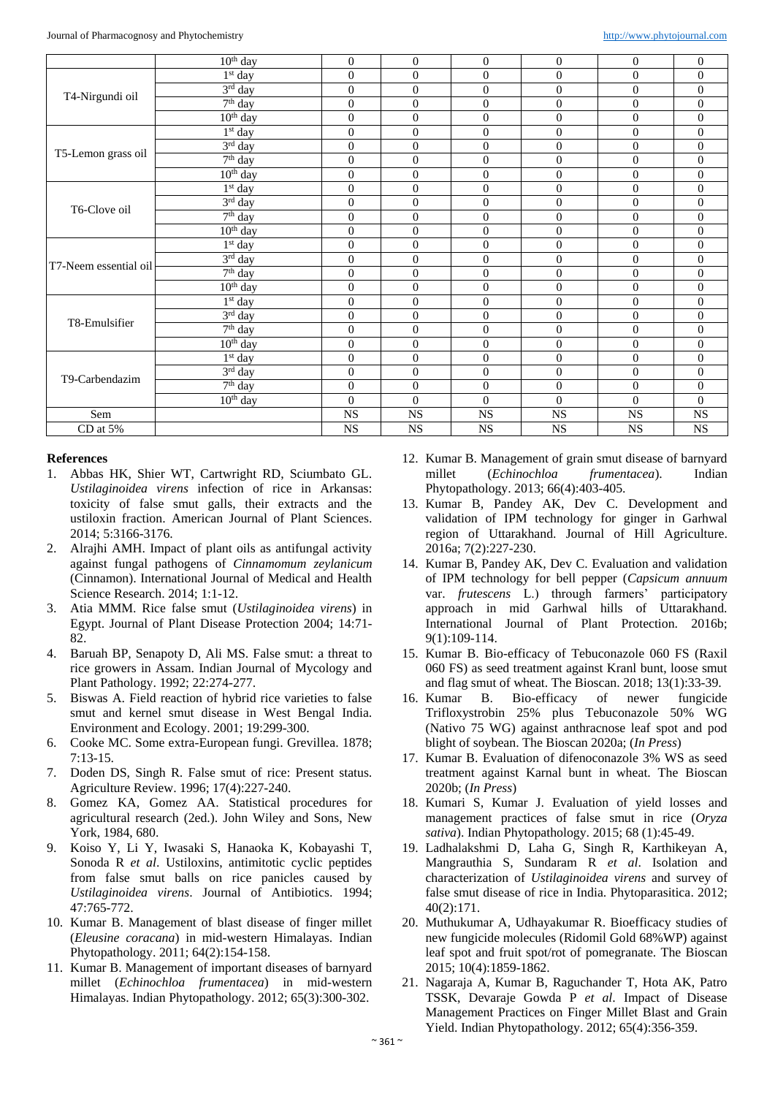|                       | $10th$ day                       | $\mathbf{0}$     | $\mathbf{0}$     | $\boldsymbol{0}$ | $\overline{0}$   | $\theta$       | $\overline{0}$   |
|-----------------------|----------------------------------|------------------|------------------|------------------|------------------|----------------|------------------|
|                       | $1st$ day                        | $\overline{0}$   | $\boldsymbol{0}$ | $\boldsymbol{0}$ | $\boldsymbol{0}$ | $\overline{0}$ | $\overline{0}$   |
| T4-Nirgundi oil       | 3rd day                          | $\mathbf{0}$     | $\mathbf{0}$     | $\boldsymbol{0}$ | $\overline{0}$   | $\theta$       | $\overline{0}$   |
|                       | $7th$ day                        | $\mathbf{0}$     | $\mathbf{0}$     | $\boldsymbol{0}$ | $\overline{0}$   | $\theta$       | $\overline{0}$   |
|                       | $10th$ day                       | $\overline{0}$   | $\mathbf{0}$     | $\boldsymbol{0}$ | $\boldsymbol{0}$ | $\theta$       | $\overline{0}$   |
|                       | $1st$ day                        | $\overline{0}$   | $\boldsymbol{0}$ | $\boldsymbol{0}$ | $\boldsymbol{0}$ | $\mathbf{0}$   | $\mathbf{0}$     |
|                       | $3rd$ day                        | $\overline{0}$   | $\mathbf{0}$     | $\overline{0}$   | $\overline{0}$   | $\mathbf{0}$   | $\overline{0}$   |
| T5-Lemon grass oil    | $7th$ day                        | $\overline{0}$   | $\mathbf{0}$     | $\boldsymbol{0}$ | $\mathbf{0}$     | $\mathbf{0}$   | $\overline{0}$   |
|                       | $10th$ day                       | $\overline{0}$   | $\mathbf{0}$     | $\boldsymbol{0}$ | $\overline{0}$   | $\mathbf{0}$   | $\overline{0}$   |
|                       | $1st$ day                        | $\overline{0}$   | $\mathbf{0}$     | $\boldsymbol{0}$ | $\overline{0}$   | $\mathbf{0}$   | $\mathbf{0}$     |
| T6-Clove oil          | $3rd$ day                        | $\mathbf{0}$     | $\mathbf{0}$     | $\overline{0}$   | $\overline{0}$   | $\mathbf{0}$   | $\overline{0}$   |
|                       | $7th$ day                        | $\overline{0}$   | $\mathbf{0}$     | $\boldsymbol{0}$ | $\overline{0}$   | $\mathbf{0}$   | $\overline{0}$   |
|                       | $10th$ day                       | $\mathbf{0}$     | $\boldsymbol{0}$ | $\boldsymbol{0}$ | $\boldsymbol{0}$ | $\mathbf{0}$   | $\overline{0}$   |
|                       | $1st$ day                        | $\theta$         | $\Omega$         | $\overline{0}$   | $\mathbf{0}$     | $\Omega$       | $\mathbf{0}$     |
| T7-Neem essential oil | 3rd day                          | $\mathbf{0}$     | $\mathbf{0}$     | $\boldsymbol{0}$ | $\boldsymbol{0}$ | $\Omega$       | $\overline{0}$   |
|                       | $7th$ day                        | $\mathbf{0}$     | $\mathbf{0}$     | $\overline{0}$   | $\overline{0}$   | $\mathbf{0}$   | $\overline{0}$   |
|                       | $10th$ day                       | $\theta$         | $\mathbf{0}$     | $\boldsymbol{0}$ | $\boldsymbol{0}$ | $\Omega$       | $\overline{0}$   |
|                       | 1 <sup>st</sup> day              | $\mathbf{0}$     | $\mathbf{0}$     | $\boldsymbol{0}$ | $\boldsymbol{0}$ | $\theta$       | $\overline{0}$   |
| T8-Emulsifier         | 3rd day                          | $\mathbf{0}$     | $\overline{0}$   | $\boldsymbol{0}$ | $\boldsymbol{0}$ | $\theta$       | $\overline{0}$   |
|                       | $7th$ day                        | $\mathbf{0}$     | $\overline{0}$   | $\boldsymbol{0}$ | $\boldsymbol{0}$ | $\theta$       | $\overline{0}$   |
|                       | $10th$ day                       | $\boldsymbol{0}$ | $\boldsymbol{0}$ | $\boldsymbol{0}$ | $\boldsymbol{0}$ | $\mathbf{0}$   | $\boldsymbol{0}$ |
| T9-Carbendazim        | $1st$ day                        | $\overline{0}$   | $\overline{0}$   | $\boldsymbol{0}$ | $\boldsymbol{0}$ | $\overline{0}$ | $\overline{0}$   |
|                       | 3rd day                          | $\mathbf{0}$     | $\overline{0}$   | $\overline{0}$   | $\overline{0}$   | $\theta$       | $\overline{0}$   |
|                       | $\overline{7}$ <sup>th</sup> day | $\overline{0}$   | $\overline{0}$   | $\overline{0}$   | $\mathbf{0}$     | $\overline{0}$ | $\overline{0}$   |
|                       | $10th$ day                       | $\overline{0}$   | $\theta$         | $\overline{0}$   | $\overline{0}$   | $\theta$       | $\overline{0}$   |
| Sem                   |                                  | $_{\rm NS}$      | $_{\rm NS}$      | $_{\rm NS}$      | $_{\rm NS}$      | $_{\rm NS}$    | $_{\rm NS}$      |
| CD at 5%              |                                  | <b>NS</b>        | <b>NS</b>        | <b>NS</b>        | <b>NS</b>        | <b>NS</b>      | <b>NS</b>        |

#### **References**

- 1. Abbas HK, Shier WT, Cartwright RD, Sciumbato GL. *Ustilaginoidea virens* infection of rice in Arkansas: toxicity of false smut galls, their extracts and the ustiloxin fraction. American Journal of Plant Sciences. 2014; 5:3166-3176.
- 2. Alrajhi AMH. Impact of plant oils as antifungal activity against fungal pathogens of *Cinnamomum zeylanicum* (Cinnamon). International Journal of Medical and Health Science Research. 2014; 1:1-12.
- 3. Atia MMM. Rice false smut (*Ustilaginoidea virens*) in Egypt. Journal of Plant Disease Protection 2004; 14:71- 82.
- 4. Baruah BP, Senapoty D, Ali MS. False smut: a threat to rice growers in Assam. Indian Journal of Mycology and Plant Pathology. 1992; 22:274-277.
- 5. Biswas A. Field reaction of hybrid rice varieties to false smut and kernel smut disease in West Bengal India. Environment and Ecology. 2001; 19:299-300.
- 6. Cooke MC. Some extra-European fungi. Grevillea. 1878; 7:13-15.
- 7. Doden DS, Singh R. False smut of rice: Present status. Agriculture Review. 1996; 17(4):227-240.
- 8. Gomez KA, Gomez AA. Statistical procedures for agricultural research (2ed.). John Wiley and Sons, New York, 1984, 680.
- 9. Koiso Y, Li Y, Iwasaki S, Hanaoka K, Kobayashi T, Sonoda R *et al*. Ustiloxins, antimitotic cyclic peptides from false smut balls on rice panicles caused by *Ustilaginoidea virens*. Journal of Antibiotics. 1994; 47:765-772.
- 10. Kumar B. Management of blast disease of finger millet (*Eleusine coracana*) in mid-western Himalayas. Indian Phytopathology. 2011; 64(2):154-158.
- 11. Kumar B. Management of important diseases of barnyard millet (*Echinochloa frumentacea*) in mid-western Himalayas. Indian Phytopathology. 2012; 65(3):300-302.
- 12. Kumar B. Management of grain smut disease of barnyard millet (*Echinochloa frumentacea*). Indian Phytopathology. 2013; 66(4):403-405.
- 13. Kumar B, Pandey AK, Dev C. Development and validation of IPM technology for ginger in Garhwal region of Uttarakhand. Journal of Hill Agriculture. 2016a; 7(2):227-230.
- 14. Kumar B, Pandey AK, Dev C. Evaluation and validation of IPM technology for bell pepper (*Capsicum annuum* var. *frutescens* L.) through farmers' participatory approach in mid Garhwal hills of Uttarakhand. International Journal of Plant Protection. 2016b; 9(1):109-114.
- 15. Kumar B. Bio-efficacy of Tebuconazole 060 FS (Raxil 060 FS) as seed treatment against Kranl bunt, loose smut and flag smut of wheat. The Bioscan. 2018; 13(1):33-39.
- 16. Kumar B. Bio-efficacy of newer fungicide Trifloxystrobin 25% plus Tebuconazole 50% WG (Nativo 75 WG) against anthracnose leaf spot and pod blight of soybean. The Bioscan 2020a; (*In Press*)
- 17. Kumar B. Evaluation of difenoconazole 3% WS as seed treatment against Karnal bunt in wheat. The Bioscan 2020b; (*In Press*)
- 18. Kumari S, Kumar J. Evaluation of yield losses and management practices of false smut in rice (*Oryza sativa*). Indian Phytopathology. 2015; 68 (1):45-49.
- 19. Ladhalakshmi D, Laha G, Singh R, Karthikeyan A, Mangrauthia S, Sundaram R *et al*. Isolation and characterization of *Ustilaginoidea virens* and survey of false smut disease of rice in India. Phytoparasitica. 2012; 40(2):171.
- 20. Muthukumar A, Udhayakumar R. Bioefficacy studies of new fungicide molecules (Ridomil Gold 68%WP) against leaf spot and fruit spot/rot of pomegranate. The Bioscan 2015; 10(4):1859-1862.
- 21. Nagaraja A, Kumar B, Raguchander T, Hota AK, Patro TSSK, Devaraje Gowda P *et al*. Impact of Disease Management Practices on Finger Millet Blast and Grain Yield. Indian Phytopathology. 2012; 65(4):356-359.